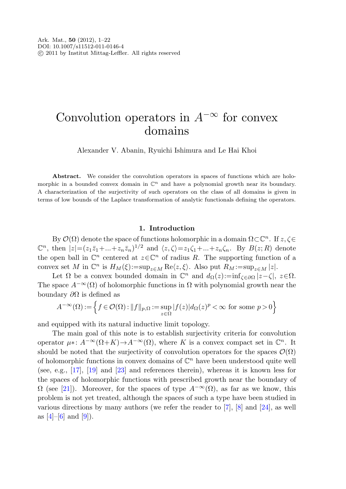# Convolution operators in  $A^{-\infty}$  for convex domains

Alexander V. Abanin, Ryuichi Ishimura and Le Hai Khoi

Abstract. We consider the convolution operators in spaces of functions which are holomorphic in a bounded convex domain in  $\mathbb{C}^n$  and have a polynomial growth near its boundary. A characterization of the surjectivity of such operators on the class of all domains is given in terms of low bounds of the Laplace transformation of analytic functionals defining the operators.

# **1. Introduction**

By  $\mathcal{O}(\Omega)$  denote the space of functions holomorphic in a domain  $\Omega \subset \mathbb{C}^n$ . If  $z,\zeta \in$  $\mathbb{C}^n$ , then  $|z| = (z_1\bar{z}_1 + ... + z_n\bar{z}_n)^{1/2}$  and  $\langle z,\zeta\rangle = z_1\zeta_1 + ... + z_n\zeta_n$ . By  $B(z;R)$  denote the open ball in  $\mathbb{C}^n$  centered at  $z \in \mathbb{C}^n$  of radius R. The supporting function of a convex set M in  $\mathbb{C}^n$  is  $H_M(\xi) := \sup_{z \in M} \text{Re}\langle z, \xi \rangle$ . Also put  $R_M := \sup_{z \in M} |z|$ .

Let  $\Omega$  be a convex bounded domain in  $\mathbb{C}^n$  and  $d_{\Omega}(z) := \inf_{\zeta \in \partial \Omega} |z - \zeta|, z \in \Omega$ . The space  $A^{-\infty}(\Omega)$  of holomorphic functions in  $\Omega$  with polynomial growth near the boundary  $\partial\Omega$  is defined as

$$
A^{-\infty}(\Omega) := \left\{ f \in \mathcal{O}(\Omega) : ||f||_{p,\Omega} := \sup_{z \in \Omega} |f(z)| d_{\Omega}(z)^p < \infty \text{ for some } p > 0 \right\}
$$

and equipped with its natural inductive limit topology.

The main goal of this note is to establish surjectivity criteria for convolution operator  $\mu$ ∗:  $A^{-\infty}(\Omega + K) \to A^{-\infty}(\Omega)$ , where K is a convex compact set in  $\mathbb{C}^n$ . It should be noted that the surjectivity of convolution operators for the spaces  $\mathcal{O}(\Omega)$ of holomorphic functions in convex domains of  $\mathbb{C}^n$  have been understood quite well (see, e.g., [[17\]](#page-21-0), [[19\]](#page-21-1) and [\[23](#page-21-2)] and references therein), whereas it is known less for the spaces of holomorphic functions with prescribed growth near the boundary of  $\Omega$  (see [[21\]](#page-21-3)). Moreover, for the spaces of type  $A^{-\infty}(\Omega)$ , as far as we know, this problem is not yet treated, although the spaces of such a type have been studied in various directions by many authors (we refer the reader to [\[7](#page-20-0)], [[8\]](#page-20-1) and [\[24](#page-21-4)], as well as  $[4]-[6]$  $[4]-[6]$  $[4]-[6]$  and  $[9]$  $[9]$ ).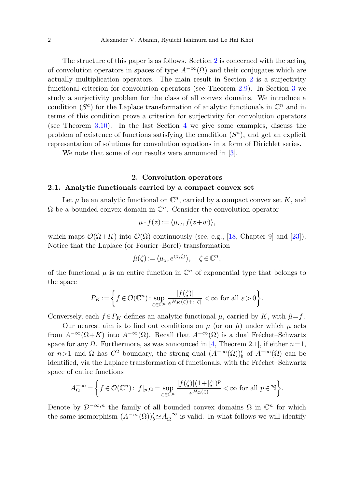The structure of this paper is as follows. Section [2](#page-1-0) is concerned with the acting of convolution operators in spaces of type  $A^{-\infty}(\Omega)$  and their conjugates which are actually multiplication operators. The main result in Section [2](#page-1-0) is a surjectivity functional criterion for convolution operators (see Theorem [2.9](#page-7-0)). In Section [3](#page-8-0) we study a surjectivity problem for the class of all convex domains. We introduce a condition  $(S^a)$  for the Laplace transformation of analytic functionals in  $\mathbb{C}^n$  and in terms of this condition prove a criterion for surjectivity for convolution operators (see Theorem [3.10\)](#page-15-0). In the last Section [4](#page-16-0) we give some examples, discuss the problem of existence of functions satisfying the condition  $(S<sup>a</sup>)$ , and get an explicit representation of solutions for convolution equations in a form of Dirichlet series.

<span id="page-1-0"></span>We note that some of our results were announced in [[3\]](#page-20-5).

# **2. Convolution operators**

# **2.1. Analytic functionals carried by a compact convex set**

Let  $\mu$  be an analytic functional on  $\mathbb{C}^n$ , carried by a compact convex set K, and  $\Omega$  be a bounded convex domain in  $\mathbb{C}^n$ . Consider the convolution operator

$$
\mu * f(z) := \langle \mu_w, f(z+w) \rangle,
$$

which maps  $\mathcal{O}(\Omega + K)$  into  $\mathcal{O}(\Omega)$  continuously (see, e.g., [[18,](#page-21-5) Chapter 9] and [\[23](#page-21-2)]). Notice that the Laplace (or Fourier–Borel) transformation

$$
\hat{\mu}(\zeta) := \langle \mu_z, e^{\langle z, \zeta \rangle} \rangle, \quad \zeta \in \mathbb{C}^n,
$$

of the functional  $\mu$  is an entire function in  $\mathbb{C}^n$  of exponential type that belongs to the space

$$
P_K := \left\{ f \in \mathcal{O}(\mathbb{C}^n) : \sup_{\zeta \in \mathbb{C}^n} \frac{|f(\zeta)|}{e^{H_K(\zeta) + \varepsilon |\zeta|}} < \infty \text{ for all } \varepsilon > 0 \right\}.
$$

Conversely, each  $f \in P_K$  defines an analytic functional  $\mu$ , carried by K, with  $\hat{\mu} = f$ .

Our nearest aim is to find out conditions on  $\mu$  (or on  $\hat{\mu}$ ) under which  $\mu$  acts from  $A^{-\infty}(\Omega + K)$  into  $A^{-\infty}(\Omega)$ . Recall that  $A^{-\infty}(\Omega)$  is a dual Fréchet–Schwartz space for any  $\Omega$ . Furthermore, as was announced in [\[4,](#page-20-2) Theorem 2.1], if either  $n=1$ , or  $n>1$  and  $\Omega$  has  $C^2$  boundary, the strong dual  $(A^{-\infty}(\Omega))'_b$  of  $A^{-\infty}(\Omega)$  can be identified, via the Laplace transformation of functionals, with the Fréchet–Schwartz space of entire functions

$$
A^{-\infty}_{\Omega}=\bigg\{f\in \mathcal O(\mathbb C^n): |f|_{p,\Omega}=\sup_{\zeta\in\mathbb C^n}\frac{|f(\zeta)|(1+|\zeta|)^p}{e^{H_{\Omega}(\zeta)}}<\infty\text{ for all }p\in\mathbb N\bigg\}.
$$

Denote by  $\mathcal{D}^{-\infty,n}$  the family of all bounded convex domains  $\Omega$  in  $\mathbb{C}^n$  for which the same isomorphism  $(A^{-\infty}(\Omega))_b' \simeq A_{\Omega}^{-\infty}$  is valid. In what follows we will identify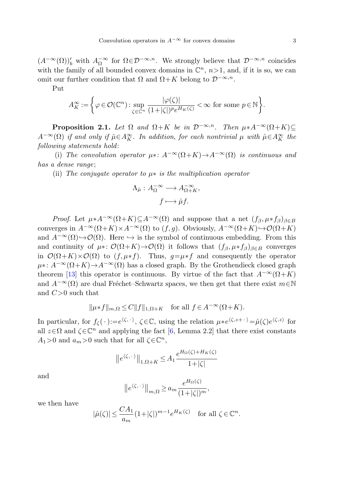<span id="page-2-0"></span> $(A^{-\infty}(\Omega))'_{b}$  with  $A_{\Omega}^{-\infty}$  for  $\Omega \in \mathcal{D}^{-\infty,n}$ . We strongly believe that  $\mathcal{D}^{-\infty,n}$  coincides with the family of all bounded convex domains in  $\mathbb{C}^n$ ,  $n>1$ , and, if it is so, we can omit our further condition that  $\Omega$  and  $\Omega + K$  belong to  $\mathcal{D}^{-\infty,n}$ .

Put

$$
A_K^{\infty} := \left\{ \varphi \in \mathcal{O}(\mathbb{C}^n) : \sup_{\zeta \in \mathbb{C}^n} \frac{|\varphi(\zeta)|}{(1+|\zeta|)^p e^{H_K(\zeta)}} < \infty \text{ for some } p \in \mathbb{N} \right\}.
$$

**Proposition 2.1.** Let  $\Omega$  and  $\Omega + K$  be in  $\mathcal{D}^{-\infty,n}$ . Then  $\mu * A^{-\infty}(\Omega + K) \subseteq$  $A^{-\infty}(\Omega)$  if and only if  $\hat{\mu} \in A_K^{\infty}$ . In addition, for each nontrivial  $\mu$  with  $\hat{\mu} \in A_K^{\infty}$  the following statements hold:

(i) The convolution operator  $\mu$ ∗:  $A^{-\infty}(\Omega + K) \to A^{-\infty}(\Omega)$  is continuous and has a dense range;

(ii) The conjugate operator to  $\mu$ \* is the multiplication operator

$$
\Lambda_{\hat{\mu}} : A_{\Omega}^{-\infty} \longrightarrow A_{\Omega + K}^{-\infty},
$$

$$
f \longmapsto \hat{\mu}f.
$$

*Proof.* Let  $\mu * A^{-\infty}(\Omega + K) \subseteq A^{-\infty}(\Omega)$  and suppose that a net  $(f_{\beta}, \mu * f_{\beta})_{\beta \in B}$ converges in  $A^{-\infty}(\Omega+K)\times A^{-\infty}(\Omega)$  to  $(f,g)$ . Obviously,  $A^{-\infty}(\Omega+K)\hookrightarrow \mathcal{O}(\Omega+K)$ and  $A^{-\infty}(\Omega) \rightarrow \mathcal{O}(\Omega)$ . Here  $\hookrightarrow$  is the symbol of continuous embedding. From this and continuity of  $\mu$ ∗:  $\mathcal{O}(\Omega + K) \to \mathcal{O}(\Omega)$  it follows that  $(f_\beta, \mu * f_\beta)_{\beta \in B}$  converges in  $\mathcal{O}(\Omega + K) \times \mathcal{O}(\Omega)$  to  $(f, \mu * f)$ . Thus,  $g = \mu * f$  and consequently the operator  $\mu^*$ :  $A^{-\infty}(\Omega + K) \to A^{-\infty}(\Omega)$  has a closed graph. By the Grothendieck closed graph theorem [[13\]](#page-20-6) this operator is continuous. By virtue of the fact that  $A^{-\infty}(\Omega + K)$ and  $A^{-\infty}(\Omega)$  are dual Fréchet–Schwartz spaces, we then get that there exist  $m \in \mathbb{N}$ and  $C>0$  such that

$$
\|\mu * f\|_{m,\Omega} \le C \|f\|_{1,\Omega+K} \quad \text{for all } f \in A^{-\infty}(\Omega+K).
$$

In particular, for  $f_{\zeta}(\cdot):=e^{\langle \zeta, \cdot \rangle}, \zeta \in \mathbb{C}$ , using the relation  $\mu * e^{\langle \zeta, z+\cdot \rangle} = \hat{\mu}(\zeta)e^{\langle \zeta, z \rangle}$  for all  $z \in \Omega$  and  $\zeta \in \mathbb{C}^n$  and applying the fact [[6,](#page-20-3) Lemma 2.2] that there exist constants  $A_1>0$  and  $a_m>0$  such that for all  $\zeta \in \mathbb{C}^n$ ,

$$
||e^{\langle \zeta, \cdot \rangle}||_{1, \Omega + K} \le A_1 \frac{e^{H_{\Omega}(\zeta) + H_K(\zeta)}}{1 + |\zeta|}
$$

and

$$
||e^{\langle \zeta, \cdot \rangle}||_{m,\Omega} \ge a_m \frac{e^{H_\Omega(\zeta)}}{(1+|\zeta|)^m},
$$

we then have

$$
|\hat{\mu}(\zeta)| \le \frac{CA_1}{a_m} (1+|\zeta|)^{m-1} e^{H_K(\zeta)} \quad \text{for all } \zeta \in \mathbb{C}^n.
$$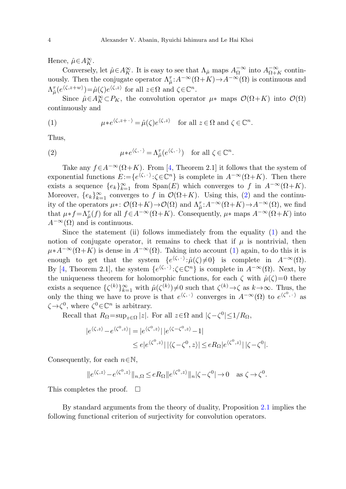<span id="page-3-1"></span>Hence,  $\hat{\mu} \in A_K^{\infty}$ .

Conversely, let  $\hat{\mu} \in A_K^{\infty}$ . It is easy to see that  $\Lambda_{\hat{\mu}}$  maps  $A_{\Omega}^{-\infty}$  into  $A_{\Omega+K}^{-\infty}$  continuously. Then the conjugate operator  $\Lambda_{\hat{\mu}}^{\tau}$ : $A^{-\infty}(\Omega + K) \to A^{-\infty}(\Omega)$  is continuous and  $\Lambda_{\hat{\mu}}^{\tau}(e^{\langle \zeta,z+w\rangle})=\hat{\mu}(\zeta)e^{\langle \zeta,z\rangle}$  for all  $z\in\Omega$  and  $\zeta\in\mathbb{C}^n$ .

<span id="page-3-0"></span>Since  $\hat{\mu} \in A_K^{\infty} \subset P_K$ , the convolution operator  $\mu^*$  maps  $\mathcal{O}(\Omega + K)$  into  $\mathcal{O}(\Omega)$ continuously and

(1) 
$$
\mu * e^{\langle \zeta, z + \cdot \rangle} = \hat{\mu}(\zeta) e^{\langle \zeta, z \rangle} \text{ for all } z \in \Omega \text{ and } \zeta \in \mathbb{C}^n.
$$

Thus,

(2) 
$$
\mu * e^{\langle \zeta, \cdot \rangle} = \Lambda^{\tau}_{\hat{\mu}}(e^{\langle \zeta, \cdot \rangle}) \text{ for all } \zeta \in \mathbb{C}^n.
$$

Take any  $f \in A^{-\infty}(\Omega + K)$ . From [\[4](#page-20-2), Theorem 2.1] it follows that the system of exponential functions  $E:=\{e^{\langle \zeta, \cdot \rangle} : \zeta \in \mathbb{C}^n\}$  is complete in  $A^{-\infty}(\Omega + K)$ . Then there exists a sequence  ${e_k}_{k=1}^{\infty}$  from  $\text{Span}(E)$  which converges to f in  $A^{-\infty}(\Omega+K)$ . Moreover,  ${e_k}_{k=1}^{\infty}$  converges to f in  $\mathcal{O}(\Omega+K)$ . Using this, [\(2](#page-3-0)) and the continuity of the operators  $\mu$ <sup>\*</sup>:  $\mathcal{O}(\Omega+K) \to \mathcal{O}(\Omega)$  and  $\Lambda_{\hat{\mu}}^{\tau}$ :  $A^{-\infty}(\Omega+K) \to A^{-\infty}(\Omega)$ , we find that  $\mu * f = \Lambda_{\hat{\mu}}^{\tau}(f)$  for all  $f \in A^{-\infty}(\Omega + K)$ . Consequently,  $\mu *$  maps  $A^{-\infty}(\Omega + K)$  into  $A^{-\infty}(\Omega)$  and is continuous.

Since the statement (ii) follows immediately from the equality [\(1](#page-3-1)) and the notion of conjugate operator, it remains to check that if  $\mu$  is nontrivial, then  $\mu * A^{-\infty}(\Omega + K)$  is dense in  $A^{-\infty}(\Omega)$ . Taking into account ([1\)](#page-3-1) again, to do this it is enough to get that the system  $\{e^{\langle \zeta, \cdot \rangle} : \hat{\mu}(\zeta) \neq 0\}$  is complete in  $A^{-\infty}(\Omega)$ . By [\[4](#page-20-2), Theorem 2.1], the system  $\{e^{\langle \zeta, \cdot \rangle} : \zeta \in \mathbb{C}^n\}$  is complete in  $A^{-\infty}(\Omega)$ . Next, by the uniqueness theorem for holomorphic functions, for each  $\zeta$  with  $\hat{\mu}(\zeta)=0$  there exists a sequence  $\{\zeta^{(k)}\}_{k=1}^{\infty}$  with  $\hat{\mu}(\zeta^{(k)})\neq 0$  such that  $\zeta^{(k)}\to \zeta$  as  $k\to\infty$ . Thus, the only the thing we have to prove is that  $e^{\langle \zeta, \cdot \rangle}$  converges in  $A^{-\infty}(\Omega)$  to  $e^{\langle \zeta^0, \cdot \rangle}$  as  $\zeta \rightarrow \zeta^0$ , where  $\zeta^0 \in \mathbb{C}^n$  is arbitrary.

Recall that  $R_{\Omega} = \sup_{z \in \Omega} |z|$ . For all  $z \in \Omega$  and  $|\zeta - \zeta^0| \leq 1/R_{\Omega}$ ,

$$
|e^{\langle \zeta, z \rangle} - e^{\langle \zeta^0, z \rangle}| = |e^{\langle \zeta^0, z \rangle}| |e^{\langle \zeta - \zeta^0, z \rangle} - 1|
$$
  
 
$$
\leq e|e^{\langle \zeta^0, z \rangle}| |\langle \zeta - \zeta^0, z \rangle| \leq e R_{\Omega} |e^{\langle \zeta^0, z \rangle}| |\zeta - \zeta^0|.
$$

Consequently, for each  $n \in \mathbb{N}$ ,

$$
||e^{\langle \zeta, z \rangle} - e^{\langle \zeta^0, z \rangle} ||_{n, \Omega} \le e R_{\Omega} ||e^{\langle \zeta^0, z \rangle} ||_{n} |\zeta - \zeta^0| \to 0 \quad \text{as } \zeta \to \zeta^0.
$$

This completes the proof.  $\Box$ 

By standard arguments from the theory of duality, Proposition [2.1](#page-2-0) implies the following functional criterion of surjectivity for convolution operators.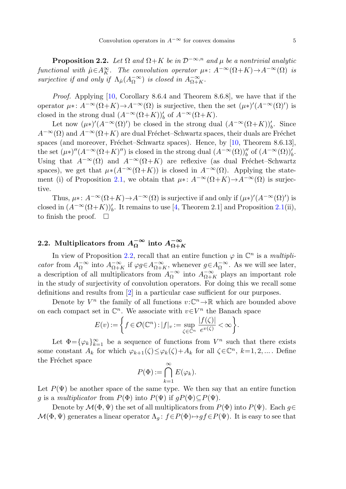<span id="page-4-0"></span>**Proposition 2.2.** Let  $\Omega$  and  $\Omega + K$  be in  $\mathcal{D}^{-\infty,n}$  and  $\mu$  be a nontrivial analytic functional with  $\hat{\mu} \in A_K^{\infty}$ . The convolution operator  $\mu$ \*:  $A^{-\infty}(\Omega + K) \to A^{-\infty}(\Omega)$  is surjective if and only if  $\Lambda_{\hat{\mu}}(A_{\Omega}^{-\infty})$  is closed in  $A_{\Omega+K}^{-\infty}$ .

Proof. Applying [[10](#page-20-7), Corollary 8.6.4 and Theorem 8.6.8], we have that if the operator  $\mu^*: A^{-\infty}(\Omega + K) \to A^{-\infty}(\Omega)$  is surjective, then the set  $(\mu^*)'(A^{-\infty}(\Omega)')$  is closed in the strong dual  $(A^{-\infty}(\Omega+K))'_{b}$  of  $A^{-\infty}(\Omega+K)$ .

Let now  $(\mu^*)' (A^{-\infty}(\Omega)')$  be closed in the strong dual  $(A^{-\infty}(\Omega + K))'_{b}$ . Since  $A^{-\infty}(\Omega)$  and  $A^{-\infty}(\Omega + K)$  are dual Fréchet–Schwartz spaces, their duals are Fréchet spaces (and moreover, Fréchet–Schwartz spaces). Hence, by  $[10,$  $[10,$  Theorem 8.6.13], the set  $(\mu^*)''(A^{-\infty}(\Omega + K)''')$  is closed in the strong dual  $(A^{-\infty}(\Omega))''_b$  of  $(A^{-\infty}(\Omega))'_b$ . Using that  $A^{-\infty}(\Omega)$  and  $A^{-\infty}(\Omega + K)$  are reflexive (as dual Fréchet–Schwartz spaces), we get that  $\mu * (A^{-\infty}(\Omega + K))$  is closed in  $A^{-\infty}(\Omega)$ . Applying the state-ment (i) of Proposition [2.1,](#page-2-0) we obtain that  $\mu$ ∗:  $A^{-\infty}(\Omega + K) \rightarrow A^{-\infty}(\Omega)$  is surjective.

Thus,  $\mu^*: A^{-\infty}(\Omega + K) \to A^{-\infty}(\Omega)$  is surjective if and only if  $(\mu^*)'(A^{-\infty}(\Omega)')$  is closed in  $(A^{-\infty}(\Omega + K))'_{b}$ . It remains to use [[4,](#page-20-2) Theorem [2.1](#page-2-0)] and Proposition 2.1(ii), to finish the proof.  $\Box$ 

# **2.2.** Multiplicators from  $A_{\Omega}^{-\infty}$  into  $A_{\Omega+K}^{-\infty}$

In view of Proposition [2.2,](#page-4-0) recall that an entire function  $\varphi$  in  $\mathbb{C}^n$  is a *multipli*cator from  $A_{\Omega}^{-\infty}$  into  $A_{\Omega+K}^{-\infty}$  if  $\varphi g \in A_{\Omega+K}^{-\infty}$ , whenever  $g \in A_{\Omega}^{-\infty}$ . As we will see later, a description of all multiplicators from  $A_{\Omega}^{-\infty}$  into  $A_{\Omega+K}^{-\infty}$  plays an important role in the study of surjectivity of convolution operators. For doing this we recall some definitions and results from [\[2](#page-20-8)] in a particular case sufficient for our purposes.

Denote by  $V^n$  the family of all functions  $v:\mathbb{C}^n\to\mathbb{R}$  which are bounded above on each compact set in  $\mathbb{C}^n$ . We associate with  $v \in V^n$  the Banach space

$$
E(v) := \left\{ f \in \mathcal{O}(\mathbb{C}^n) : |f|_v := \sup_{\zeta \in \mathbb{C}^n} \frac{|f(\zeta)|}{e^{v(\zeta)}} < \infty \right\}.
$$

Let  $\Phi = {\varphi_k}_{k=1}^{\infty}$  be a sequence of functions from  $V^n$  such that there exists some constant  $A_k$  for which  $\varphi_{k+1}(\zeta) \leq \varphi_k(\zeta) + A_k$  for all  $\zeta \in \mathbb{C}^n$ ,  $k=1,2,...$  Define the Fréchet space

$$
P(\Phi) := \bigcap_{k=1}^{\infty} E(\varphi_k).
$$

Let  $P(\Psi)$  be another space of the same type. We then say that an entire function g is a multiplicator from  $P(\Phi)$  into  $P(\Psi)$  if  $g(P(\Phi)) \subseteq P(\Psi)$ .

Denote by  $\mathcal{M}(\Phi, \Psi)$  the set of all multiplicators from  $P(\Phi)$  into  $P(\Psi)$ . Each  $q \in$  $\mathcal{M}(\Phi, \Psi)$  generates a linear operator  $\Lambda_q$ :  $f \in P(\Phi) \mapsto gf \in P(\Psi)$ . It is easy to see that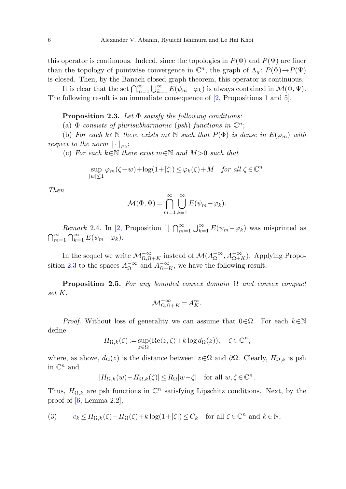<span id="page-5-0"></span>this operator is continuous. Indeed, since the topologies in  $P(\Phi)$  and  $P(\Psi)$  are finer than the topology of pointwise convergence in  $\mathbb{C}^n$ , the graph of  $\Lambda_a: P(\Phi) \to P(\Psi)$ is closed. Then, by the Banach closed graph theorem, this operator is continuous.

It is clear that the set  $\bigcap_{m=1}^{\infty} \bigcup_{k=1}^{\infty} E(\psi_m - \varphi_k)$  is always contained in  $\mathcal{M}(\Phi, \Psi)$ . The following result is an immediate consequence of [[2,](#page-20-8) Propositions 1 and 5].

#### **Proposition 2***.***3.** Let Φ satisfy the following conditions:

(a)  $\Phi$  consists of plurisubharmonic (psh) functions in  $\mathbb{C}^n$ ;

(b) For each  $k \in \mathbb{N}$  there exists  $m \in \mathbb{N}$  such that  $P(\Phi)$  is dense in  $E(\varphi_m)$  with respect to the norm  $|\cdot|_{\varphi_k}$ ;

(c) For each  $k \in \mathbb{N}$  there exist  $m \in \mathbb{N}$  and  $M > 0$  such that

$$
\sup_{|w| \le 1} \varphi_m(\zeta + w) + \log(1 + |\zeta|) \le \varphi_k(\zeta) + M \quad \text{for all } \zeta \in \mathbb{C}^n.
$$

Then

$$
\mathcal{M}(\Phi, \Psi) = \bigcap_{m=1}^{\infty} \bigcup_{k=1}^{\infty} E(\psi_m - \varphi_k).
$$

<span id="page-5-2"></span>*Remark* 2.4. In [\[2](#page-20-8), Proposition 1]  $\bigcap_{m=1}^{\infty} \bigcup_{k=1}^{\infty} E(\psi_m - \varphi_k)$  was misprinted as  $\bigcap_{m=1}^{\infty} \bigcap_{k=1}^{\infty} E(\psi_m - \varphi_k).$ 

In the sequel we write  $\mathcal{M}_{\Omega,\Omega+K}^{-\infty}$  instead of  $\mathcal{M}(A_{\Omega}^{-\infty},A_{\Omega+K}^{-\infty})$ . Applying Propo-sition [2.3](#page-5-0) to the spaces  $A_{\Omega}^{-\infty}$  and  $A_{\Omega+K}^{-\infty}$ , we have the following result.

**Proposition 2.5.** For any bounded convex domain  $\Omega$  and convex compact set K,

$$
\mathcal{M}_{\Omega,\Omega+K}^{-\infty} = A_K^{\infty}.
$$

*Proof.* Without loss of generality we can assume that  $0 \in \Omega$ . For each  $k \in \mathbb{N}$ define

$$
H_{\Omega,k}(\zeta) := \sup_{z \in \Omega} (\text{Re}\langle z, \zeta \rangle + k \log d_{\Omega}(z)), \quad \zeta \in \mathbb{C}^n,
$$

<span id="page-5-1"></span>where, as above,  $d_{\Omega}(z)$  is the distance between  $z \in \Omega$  and  $\partial \Omega$ . Clearly,  $H_{\Omega,k}$  is psh in  $\mathbb{C}^n$  and

$$
|H_{\Omega,k}(w)-H_{\Omega,k}(\zeta)|\leq R_{\Omega}|w-\zeta| \quad \text{for all } w,\zeta \in \mathbb{C}^n.
$$

Thus,  $H_{\Omega,k}$  are psh functions in  $\mathbb{C}^n$  satisfying Lipschitz conditions. Next, by the proof of  $[6, \text{Lemma } 2.2],$  $[6, \text{Lemma } 2.2],$  $[6, \text{Lemma } 2.2],$ 

(3) 
$$
c_k \leq H_{\Omega,k}(\zeta) - H_{\Omega}(\zeta) + k \log(1 + |\zeta|) \leq C_k \quad \text{for all } \zeta \in \mathbb{C}^n \text{ and } k \in \mathbb{N},
$$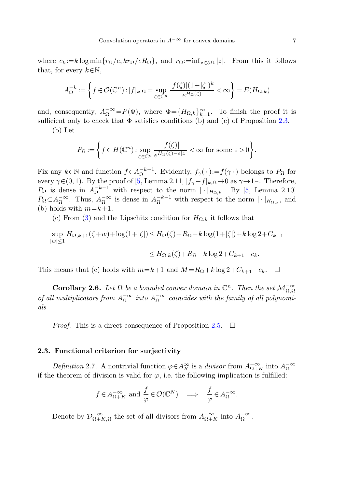where  $c_k := k \log \min\{r_{\Omega}/e, kr_{\Omega}/eR_{\Omega}\}\$ , and  $r_{\Omega} := \inf_{z \in \partial \Omega} |z|$ . From this it follows that, for every  $k \in \mathbb{N}$ ,

$$
A_{\Omega}^{-k} := \left\{ f \in \mathcal{O}(\mathbb{C}^n) : |f|_{k,\Omega} = \sup_{\zeta \in \mathbb{C}^n} \frac{|f(\zeta)|(1+|\zeta|)^k}{e^{H_{\Omega}(\zeta)}} < \infty \right\} = E(H_{\Omega,k})
$$

and, consequently,  $A_{\Omega}^{-\infty} = P(\Phi)$ , where  $\Phi = \{H_{\Omega,k}\}_{k=1}^{\infty}$ . To finish the proof it is sufficient only to check that  $\Phi$  satisfies conditions (b) and (c) of Proposition [2.3](#page-5-0).

(b) Let

$$
P_{\Omega} := \left\{ f \in H(\mathbb{C}^n) : \sup_{\zeta \in \mathbb{C}^n} \frac{|f(\zeta)|}{e^{H_{\Omega}(\zeta) - \varepsilon |z|}} < \infty \text{ for some } \varepsilon > 0 \right\}.
$$

Fix any  $k \in \mathbb{N}$  and function  $f \in A_{\Omega}^{-k-1}$ . Evidently,  $f_{\gamma}(\cdot) := f(\gamma \cdot)$  belongs to  $P_{\Omega}$  for every  $\gamma \in (0, 1)$ . By the proof of [[5,](#page-20-9) Lemma 2.11]  $|f_{\gamma} - f|_{k,\Omega} \to 0$  as  $\gamma \to 1$ -. Therefore,  $P_{\Omega}$  is dense in  $A_{\Omega}^{-k-1}$  with respect to the norm  $|\cdot|_{H_{\Omega,k}}$ . By [[5,](#page-20-9) Lemma 2.10]  $P_{\Omega} \subset A_{\Omega}^{-\infty}$ . Thus,  $A_{\Omega}^{-\infty}$  is dense in  $A_{\Omega}^{-k-1}$  with respect to the norm  $|\cdot|_{H_{\Omega,k}}$ , and (b) holds with  $m=k+1$ .

(c) From [\(3](#page-5-1)) and the Lipschitz condition for  $H_{\Omega,k}$  it follows that

$$
\sup_{|w| \le 1} H_{\Omega,k+1}(\zeta + w) + \log(1 + |\zeta|) \le H_{\Omega}(\zeta) + R_{\Omega} - k \log(1 + |\zeta|) + k \log 2 + C_{k+1}
$$

$$
\leq H_{\Omega,k}(\zeta) + R_{\Omega} + k \log 2 + C_{k+1} - c_k.
$$

This means that (c) holds with  $m=k+1$  and  $M=R_{\Omega}+k \log 2+C_{k+1}-c_k$ .  $\Box$ 

**Corollary 2.6.** Let  $\Omega$  be a bounded convex domain in  $\mathbb{C}^n$ . Then the set  $\mathcal{M}_{\Omega,\Omega}^{-\infty}$ of all multiplicators from  $A_{\Omega}^{-\infty}$  into  $A_{\Omega}^{-\infty}$  coincides with the family of all polynomials.

*Proof.* This is a direct consequence of Proposition [2.5](#page-5-2).  $\Box$ 

### **2.3. Functional criterion for surjectivity**

Definition 2.7. A nontrivial function  $\varphi \in A_K^{\infty}$  is a divisor from  $A_{\Omega+K}^{-\infty}$  into  $A_{\Omega}^{-\infty}$ if the theorem of division is valid for  $\varphi$ , i.e. the following implication is fulfilled:

$$
f \in A^{-\infty}_{\Omega+K}
$$
 and  $\frac{f}{\varphi} \in \mathcal{O}(\mathbb{C}^N) \implies \frac{f}{\varphi} \in A^{-\infty}_{\Omega}$ .

Denote by  $\mathcal{D}_{\Omega+K,\Omega}^{-\infty}$  the set of all divisors from  $A_{\Omega+K}^{-\infty}$  into  $A_{\Omega}^{-\infty}$ .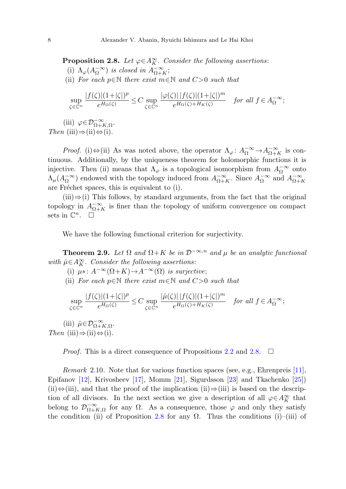<span id="page-7-1"></span>**Proposition 2.8.** Let  $\varphi \in A_K^{\infty}$ . Consider the following assertions: (i)  $\Lambda_{\varphi}(A_{\Omega}^{-\infty})$  is closed in  $A_{\Omega+K}^{-\infty}$ ; (ii) For each  $p \in \mathbb{N}$  there exist  $m \in \mathbb{N}$  and  $C > 0$  such that

$$
\sup_{\zeta \in \mathbb{C}^n} \frac{|f(\zeta)|(1+|\zeta|)^p}{e^{H_{\Omega}(\zeta)}} \le C \sup_{\zeta \in \mathbb{C}^n} \frac{|\varphi(\zeta)| \, |f(\zeta)| (1+|\zeta|)^m}{e^{H_{\Omega}(\zeta)+H_K(\zeta)}} \quad \text{for all } f \in A_{\Omega}^{-\infty};
$$

(iii)  $\varphi \in \mathcal{D}_{\Omega+K,\Omega}^{-\infty}$ . Then  $(iii) \Rightarrow (ii) \Leftrightarrow (i)$ .

*Proof.* (i)  $\Leftrightarrow$  (ii) As was noted above, the operator  $\Lambda_{\varphi}$ :  $A_{\Omega}^{-\infty} \to A_{\Omega+K}^{-\infty}$  is continuous. Additionally, by the uniqueness theorem for holomorphic functions it is injective. Then (ii) means that  $\Lambda_{\varphi}$  is a topological isomorphism from  $A_{\Omega}^{-\infty}$  onto  $\Lambda_\mu(A_\Omega^{-\infty})$  endowed with the topology induced from  $A_{\Omega+K}^{-\infty}$ . Since  $A_\Omega^{-\infty}$  and  $A_{\Omega+K}^{-\infty}$ are Fréchet spaces, this is equivalent to (i).

<span id="page-7-0"></span> $(iii) \Rightarrow (i)$  This follows, by standard arguments, from the fact that the original topology in  $A_{\Omega+K}^{-\infty}$  is finer than the topology of uniform convergence on compact sets in  $\mathbb{C}^n$ .  $\Box$ 

We have the following functional criterion for surjectivity.

**Theorem 2.9.** Let  $\Omega$  and  $\Omega + K$  be in  $\mathcal{D}^{-\infty,n}$  and  $\mu$  be an analytic functional with  $\hat{\mu} \in A_K^{\infty}$ . Consider the following assertions:

- (i)  $\mu$ ∗:  $A^{-\infty}(\Omega+K) \to A^{-\infty}(\Omega)$  is surjective;
- (ii) For each  $p \in \mathbb{N}$  there exist  $m \in \mathbb{N}$  and  $C > 0$  such that

$$
\sup_{\zeta \in \mathbb{C}^n} \frac{|f(\zeta)|(1+|\zeta|)^p}{e^{H_\Omega(\zeta)}} \leq C \sup_{\zeta \in \mathbb{C}^n} \frac{|\widehat{\mu}(\zeta)| \, |f(\zeta)|(1+|\zeta|)^m}{e^{H_\Omega(\zeta)+H_K(\zeta)}} \quad \text{for all } f \in A_\Omega^{-\infty};
$$

(iii)  $\hat{\mu} \in \mathcal{D}_{\Omega+K,\Omega}^{-\infty}$ . Then (iii)⇒(ii)⇔(i).

*Proof.* This is a direct consequence of Propositions [2.2](#page-4-0) and [2.8.](#page-7-1)  $\Box$ 

*Remark* 2.10. Note that for various function spaces (see, e.g., Ehrenpreis [\[11](#page-20-10)], Epifanov [\[12](#page-20-11)], Krivosheev [\[17](#page-21-0)], Momm [\[21](#page-21-3)], Sigurdsson [\[23\]](#page-21-2) and Tkachenko [\[25\]](#page-21-6)) (ii)⇔(iii), and that the proof of the implication (ii)⇒(iii) is based on the description of all divisors. In the next section we give a description of all  $\varphi \in A_K^{\infty}$  that belong to  $\mathcal{D}_{\Omega+K,\Omega}^{-\infty}$  for any  $\Omega$ . As a consequence, those  $\varphi$  and only they satisfy the condition (ii) of Proposition [2.8](#page-7-1) for any  $\Omega$ . Thus the conditions (i)–(iii) of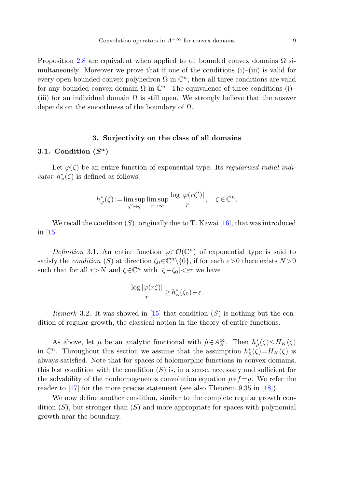<span id="page-8-0"></span>Proposition [2.8](#page-7-1) are equivalent when applied to all bounded convex domains  $\Omega$  simultaneously. Moreover we prove that if one of the conditions  $(i)$ – $(iii)$  is valid for every open bounded convex polyhedron  $\Omega$  in  $\mathbb{C}^n$ , then all three conditions are valid for any bounded convex domain  $\Omega$  in  $\mathbb{C}^n$ . The equivalence of three conditions (i)– (iii) for an individual domain  $\Omega$  is still open. We strongly believe that the answer depends on the smoothness of the boundary of  $\Omega$ .

# **3. Surjectivity on the class of all domains**

#### **3.1. Condition (***S<sup>a</sup>***)**

Let  $\varphi(\zeta)$  be an entire function of exponential type. Its regularized radial indicator  $h^*_{\varphi}(\zeta)$  is defined as follows:

$$
h^*_{\varphi}(\zeta) := \limsup_{\zeta' \to \zeta} \limsup_{r \to \infty} \frac{\log |\varphi(r\zeta')|}{r}, \quad \zeta \in \mathbb{C}^n.
$$

We recall the condition  $(S)$ , originally due to T. Kawai [\[16](#page-20-12)], that was introduced in [[15\]](#page-20-13).

Definition 3.1. An entire function  $\varphi \in \mathcal{O}(\mathbb{C}^n)$  of exponential type is said to satisfy the *condition* (S) at direction  $\zeta_0 \in \mathbb{C}^n \setminus \{0\}$ , if for each  $\varepsilon > 0$  there exists  $N > 0$ such that for all  $r > N$  and  $\zeta \in \mathbb{C}^n$  with  $|\zeta - \zeta_0| < \varepsilon r$  we have

$$
\frac{\log |\varphi(r\zeta)|}{r} \ge h_{\varphi}^*(\zeta_0) - \varepsilon.
$$

*Remark* 3.2. It was showed in [[15\]](#page-20-13) that condition  $(S)$  is nothing but the condition of regular growth, the classical notion in the theory of entire functions.

As above, let  $\mu$  be an analytic functional with  $\hat{\mu} \in A_K^{\infty}$ . Then  $h^*_{\hat{\mu}}(\zeta) \leq H_K(\zeta)$ in  $\mathbb{C}^n$ . Throughout this section we assume that the assumption  $h^*_{\hat{\mu}}(\zeta) = H_K(\zeta)$  is always satisfied. Note that for spaces of holomorphic functions in convex domains, this last condition with the condition  $(S)$  is, in a sense, necessary and sufficient for the solvability of the nonhomogeneous convolution equation  $\mu * f = g$ . We refer the reader to [[17\]](#page-21-0) for the more precise statement (see also Theorem 9.35 in [[18\]](#page-21-5)).

We now define another condition, similar to the complete regular growth condition  $(S)$ , but stronger than  $(S)$  and more appropriate for spaces with polynomial growth near the boundary.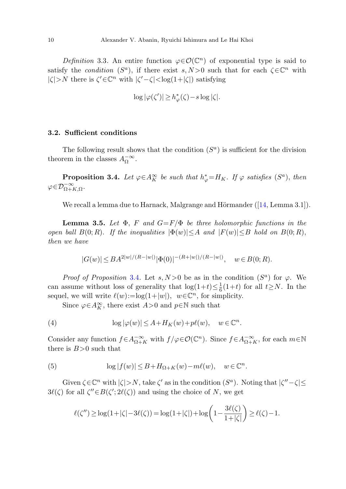Definition 3.3. An entire function  $\varphi \in \mathcal{O}(\mathbb{C}^n)$  of exponential type is said to satisfy the *condition* ( $S^a$ ), if there exist s, N>0 such that for each  $\zeta \in \mathbb{C}^n$  with  $|\zeta| > N$  there is  $\zeta' \in \mathbb{C}^n$  with  $|\zeta' - \zeta| < \log(1 + |\zeta|)$  satisfying

$$
\log |\varphi(\zeta')| \ge h_{\varphi}^*(\zeta) - s \log |\zeta|.
$$

# <span id="page-9-0"></span>**3.2. Sufficient conditions**

<span id="page-9-3"></span>The following result shows that the condition  $(S<sup>a</sup>)$  is sufficient for the division theorem in the classes  $A_{\Omega}^{-\infty}$ .

**Proposition 3.4.** Let  $\varphi \in A_K^{\infty}$  be such that  $h_{\varphi}^* = H_K$ . If  $\varphi$  satisfies  $(S^a)$ , then  $\varphi \in \mathcal{D}_{\Omega+K,\Omega}^{-\infty}$ .

We recall a lemma due to Harnack, Malgrange and Hörmander  $([14, \text{Lemma } 3.1]).$  $([14, \text{Lemma } 3.1]).$  $([14, \text{Lemma } 3.1]).$ 

**Lemma 3.5.** Let  $\Phi$ , F and  $G = F/\Phi$  be three holomorphic functions in the open ball  $B(0;R)$ . If the inequalities  $|\Phi(w)| \leq A$  and  $|F(w)| \leq B$  hold on  $B(0;R)$ , then we have

$$
|G(w)| \leq BA^{2|w|/(R-|w|)} |\Phi(0)|^{-(R+|w|)/(R-|w|)}, \quad w \in B(0;R).
$$

<span id="page-9-2"></span>*Proof of Proposition* [3.4](#page-9-0). Let s,  $N>0$  be as in the condition  $(S^a)$  for  $\varphi$ . We can assume without loss of generality that  $\log(1+t) \leq \frac{1}{6}(1+t)$  for all  $t \geq N$ . In the sequel, we will write  $\ell(w) := \log(1+|w|)$ ,  $w \in \mathbb{C}^n$ , for simplicity.

Since  $\varphi \in A_K^{\infty}$ , there exist  $A > 0$  and  $p \in \mathbb{N}$  such that

<span id="page-9-1"></span>(4) 
$$
\log |\varphi(w)| \leq A + H_K(w) + p\ell(w), \quad w \in \mathbb{C}^n.
$$

Consider any function  $f \in A_{\Omega+K}^{-\infty}$  with  $f/\varphi \in \mathcal{O}(\mathbb{C}^n)$ . Since  $f \in A_{\Omega+K}^{-\infty}$ , for each  $m \in \mathbb{N}$ there is  $B>0$  such that

(5) 
$$
\log |f(w)| \leq B + H_{\Omega + K}(w) - m\ell(w), \quad w \in \mathbb{C}^n.
$$

Given  $\zeta \in \mathbb{C}^n$  with  $|\zeta| > N$ , take  $\zeta'$  as in the condition  $(S^a)$ . Noting that  $|\zeta''-\zeta| \le$  $3\ell(\zeta)$  for all  $\zeta'' \in B(\zeta'; 2\ell(\zeta))$  and using the choice of N, we get

$$
\ell(\zeta'') \ge \log(1+|\zeta| - 3\ell(\zeta)) = \log(1+|\zeta|) + \log\left(1 - \frac{3\ell(\zeta)}{1+|\zeta|}\right) \ge \ell(\zeta) - 1.
$$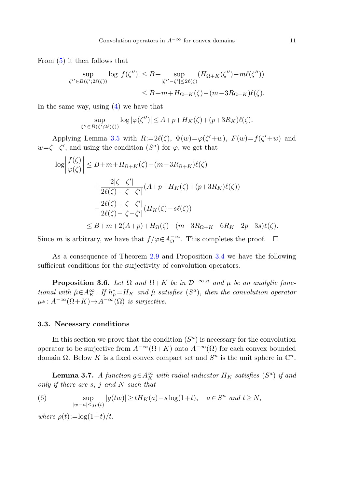From ([5](#page-9-1)) it then follows that

$$
\sup_{\zeta'' \in B(\zeta'; 2\ell(\zeta))} \log |f(\zeta'')| \le B + \sup_{|\zeta'' - \zeta'| \le 2\ell(\zeta)} (H_{\Omega + K}(\zeta'') - m\ell(\zeta''))
$$
  

$$
\le B + m + H_{\Omega + K}(\zeta) - (m - 3R_{\Omega + K})\ell(\zeta).
$$

In the same way, using [\(4](#page-9-2)) we have that

$$
\sup_{\zeta'' \in B(\zeta'; 2\ell(\zeta))} \log |\varphi(\zeta'')| \le A + p + H_K(\zeta) + (p + 3R_K)\ell(\zeta).
$$

Applying Lemma [3.5](#page-9-3) with  $R:=2\ell(\zeta), \ \Phi(w)=\varphi(\zeta'+w), \ F(w)=f(\zeta'+w)$  and  $w=\zeta-\zeta'$ , and using the condition  $(S^a)$  for  $\varphi$ , we get that

$$
\log \left| \frac{f(\zeta)}{\varphi(\zeta)} \right| \leq B + m + H_{\Omega + K}(\zeta) - (m - 3R_{\Omega + K})\ell(\zeta) \n+ \frac{2|\zeta - \zeta'|}{2\ell(\zeta) - |\zeta - \zeta'|} (A + p + H_K(\zeta) + (p + 3R_K)\ell(\zeta)) \n- \frac{2\ell(\zeta) + |\zeta - \zeta'|}{2\ell(\zeta) - |\zeta - \zeta'|} (H_K(\zeta) - s\ell(\zeta)) \n\leq B + m + 2(A + p) + H_{\Omega}(\zeta) - (m - 3R_{\Omega + K} - 6R_K - 2p - 3s)\ell(\zeta).
$$

<span id="page-10-2"></span>Since m is arbitrary, we have that  $f/\varphi \in A_{\Omega}^{-\infty}$ . This completes the proof.  $\Box$ 

As a consequence of Theorem [2.9](#page-7-0) and Proposition [3.4](#page-9-0) we have the following sufficient conditions for the surjectivity of convolution operators.

**Proposition 3.6.** Let  $\Omega$  and  $\Omega + K$  be in  $\mathcal{D}^{-\infty,n}$  and  $\mu$  be an analytic functional with  $\hat{\mu} \in A_K^{\infty}$ . If  $h_{\hat{\mu}}^* = H_K$  and  $\hat{\mu}$  satisfies  $(S^a)$ , then the convolution operator  $\mu^*: A^{-\infty}(\Omega + K) \to A^{-\infty}(\Omega)$  is surjective.

#### <span id="page-10-1"></span>**3.3. Necessary conditions**

<span id="page-10-0"></span>In this section we prove that the condition  $(S<sup>a</sup>)$  is necessary for the convolution operator to be surjective from  $A^{-\infty}(\Omega + K)$  onto  $A^{-\infty}(\Omega)$  for each convex bounded domain  $\Omega$ . Below K is a fixed convex compact set and  $S<sup>n</sup>$  is the unit sphere in  $\mathbb{C}^n$ .

**Lemma 3.7.** A function  $g \in A_K^{\infty}$  with radial indicator  $H_K$  satisfies  $(S^a)$  if and only if there are  $s, j$  and  $N$  such that

(6) 
$$
\sup_{|w-a|\leq j\rho(t)}|g(tw)| \geq tH_K(a)-s\log(1+t), \quad a\in S^n \text{ and } t\geq N,
$$

where  $\rho(t) := \log(1+t)/t$ .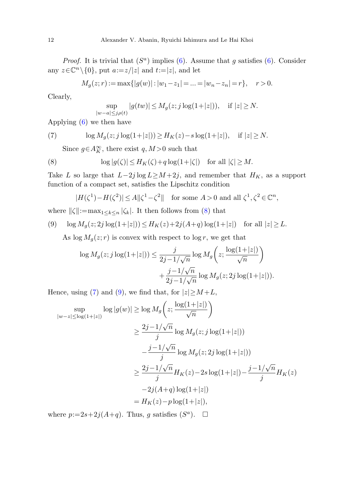<span id="page-11-1"></span>*Proof.* It is trivial that  $(S^a)$  implies ([6](#page-10-0)). Assume that q satisfies [\(6](#page-10-0)). Consider any  $z \in \mathbb{C}^n \setminus \{0\}$ , put  $a:=z/|z|$  and  $t:=|z|$ , and let

$$
M_g(z; r) := \max\{|g(w)| : |w_1 - z_1| = \dots = |w_n - z_n| = r\}, \quad r > 0.
$$

<span id="page-11-0"></span>Clearly,

$$
\sup_{|w-a|\le j\rho(t)}|g(tw)|\le M_g(z;j\log(1+|z|)), \quad \text{if }|z|\ge N.
$$

Applying ([6\)](#page-10-0) we then have

(7) 
$$
\log M_g(z; j \log(1+|z|)) \ge H_K(z) - s \log(1+|z|), \quad \text{if } |z| \ge N.
$$

Since  $g \in A_K^{\infty}$ , there exist  $q, M>0$  such that

<span id="page-11-2"></span>(8) 
$$
\log |g(\zeta)| \le H_K(\zeta) + q \log(1+|\zeta|) \quad \text{for all } |\zeta| \ge M.
$$

Take L so large that  $L-2j \log L \geq M+2j$ , and remember that  $H_K$ , as a support function of a compact set, satisfies the Lipschitz condition

$$
|H(\zeta^1) - H(\zeta^2)| \le A \|\zeta^1 - \zeta^2\| \quad \text{for some } A > 0 \text{ and all } \zeta^1, \zeta^2 \in \mathbb{C}^n,
$$

where  $\|\zeta\|:=\max_{1\leq k\leq n} |\zeta_k|$ . It then follows from [\(8](#page-11-0)) that

(9) 
$$
\log M_g(z; 2j \log(1+|z|)) \le H_K(z) + 2j(A+q) \log(1+|z|)
$$
 for all  $|z| \ge L$ .

As  $\log M_g(z; r)$  is convex with respect to  $\log r$ , we get that

$$
\log M_g(z; j \log(1+|z|)) \le \frac{j}{2j - 1/\sqrt{n}} \log M_g\left(z; \frac{\log(1+|z|)}{\sqrt{n}}\right)
$$

$$
+ \frac{j - 1/\sqrt{n}}{2j - 1/\sqrt{n}} \log M_g(z; 2j \log(1+|z|)).
$$

Hence, using [\(7](#page-11-1)) and [\(9](#page-11-2)), we find that, for  $|z| \geq M + L$ ,

$$
\sup_{|w-z| \le \log(1+|z|)} \log |g(w)| \ge \log M_g \left( z; \frac{\log(1+|z|)}{\sqrt{n}} \right)
$$
  

$$
\ge \frac{2j - 1/\sqrt{n}}{j} \log M_g(z; j \log(1+|z|))
$$
  

$$
- \frac{j - 1/\sqrt{n}}{j} \log M_g(z; 2j \log(1+|z|))
$$
  

$$
\ge \frac{2j - 1/\sqrt{n}}{j} H_K(z) - 2s \log(1+|z|) - \frac{j - 1/\sqrt{n}}{j} H_K(z)
$$
  

$$
-2j(A+q) \log(1+|z|)
$$
  

$$
= H_K(z) - p \log(1+|z|),
$$

where  $p:=2s+2j(A+q)$ . Thus, g satisfies  $(S^a)$ .  $\Box$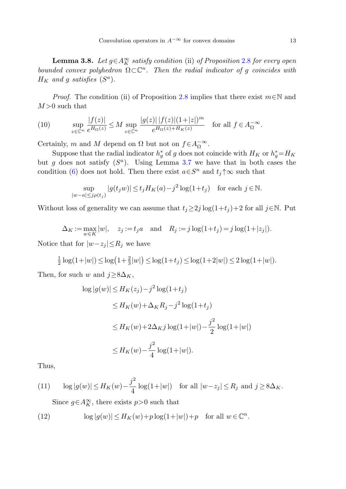<span id="page-12-3"></span><span id="page-12-2"></span>**Lemma 3.8.** Let  $g \in A_K^{\infty}$  satisfy condition (ii) of Proposition [2.8](#page-7-1) for every open bounded convex polyhedron  $\Omega \subset \mathbb{C}^n$ . Then the radial indicator of q coincides with  $H_K$  and g satisfies  $(S^a)$ .

*Proof.* The condition (ii) of Proposition [2.8](#page-7-1) implies that there exist  $m \in \mathbb{N}$  and  $M>0$  such that

(10) 
$$
\sup_{z \in \mathbb{C}^n} \frac{|f(z)|}{e^{H_{\Omega}(z)}} \le M \sup_{z \in \mathbb{C}^n} \frac{|g(z)| |f(z)| (1+|z|)^m}{e^{H_{\Omega}(z)+H_K(z)}} \text{ for all } f \in A_{\Omega}^{-\infty}.
$$

Certainly, m and M depend on  $\Omega$  but not on  $f \in A_{\Omega}^{-\infty}$ .

Suppose that the radial indicator  $h_g^*$  of g does not coincide with  $H_K$  or  $h_g^* = H_K$ but g does not satisfy  $(S^a)$ . Using Lemma [3.7](#page-10-1) we have that in both cases the condition [\(6](#page-10-0)) does not hold. Then there exist  $a \in S<sup>n</sup>$  and  $t<sub>j</sub> \uparrow \infty$  such that

$$
\sup_{|w-a| \le j\rho(t_j)} |g(t_j w)| \le t_j H_K(a) - j^2 \log(1+t_j) \quad \text{for each } j \in \mathbb{N}.
$$

Without loss of generality we can assume that  $t_j \geq 2j \log(1+t_j) + 2$  for all  $j \in \mathbb{N}$ . Put

 $\Delta_K := \max_{w \in K} |w|, \quad z_j := t_j a \quad \text{and} \quad R_j := j \log(1+t_j) = j \log(1+|z_j|).$ 

Notice that for  $|w-z_j| \leq R_j$  we have

$$
\frac{1}{2}\log(1+|w|) \le \log(1+\frac{2}{3}|w|) \le \log(1+t_j) \le \log(1+2|w|) \le 2\log(1+|w|).
$$

Then, for such w and  $j \geq 8\Delta_K$ ,

$$
\log |g(w)| \le H_K(z_j) - j^2 \log(1 + t_j)
$$
  
\n
$$
\le H_K(w) + \Delta_K R_j - j^2 \log(1 + t_j)
$$
  
\n
$$
\le H_K(w) + 2\Delta_K j \log(1 + |w|) - \frac{j^2}{2} \log(1 + |w|)
$$
  
\n
$$
\le H_K(w) - \frac{j^2}{4} \log(1 + |w|).
$$

<span id="page-12-1"></span><span id="page-12-0"></span>Thus,

(11) 
$$
\log|g(w)| \le H_K(w) - \frac{j^2}{4}\log(1+|w|)
$$
 for all  $|w-z_j| \le R_j$  and  $j \ge 8\Delta_K$ .

Since  $g \in A_K^{\infty}$ , there exists  $p > 0$  such that

(12) 
$$
\log|g(w)| \le H_K(w) + p \log(1+|w|) + p \quad \text{for all } w \in \mathbb{C}^n.
$$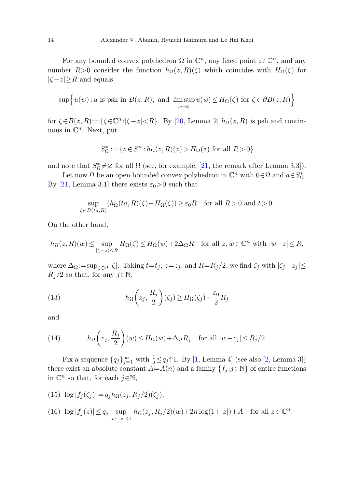For any bounded convex polyhedron  $\Omega$  in  $\mathbb{C}^n$ , any fixed point  $z \in \mathbb{C}^n$ , and any number  $R>0$  consider the function  $h_{\Omega}(z,R)(\zeta)$  which coincides with  $H_{\Omega}(\zeta)$  for  $|\zeta - z| \geq R$  and equals

$$
\sup \Big\{ u(w) : u \text{ is psh in } B(z, R), \text{ and } \limsup_{w \to \zeta} u(w) \le H_{\Omega}(\zeta) \text{ for } \zeta \in \partial B(z, R) \Big\}
$$

for  $\zeta \in B(z,R) := {\zeta \in \mathbb{C}^n : |\zeta - z| < R}$ . By [[20,](#page-21-7) Lemma 2]  $h_{\Omega}(z,R)$  is psh and continuous in  $\mathbb{C}^n$ . Next, put

$$
S^*_\Omega:=\{z\in S^n:h_\Omega\big(z,R\big)(z)>H_\Omega\big(z\big)\text{ for all }R>0\}
$$

and note that  $S^*_{\Omega} \neq \emptyset$  for all  $\Omega$  (see, for example, [\[21](#page-21-3), the remark after Lemma 3.3]).

Let now  $\Omega$  be an open bounded convex polyhedron in  $\mathbb{C}^n$  with  $0 \in \Omega$  and  $a \in S^*_{\Omega}$ . By [\[21](#page-21-3), Lemma 3.1] there exists  $\varepsilon_0 > 0$  such that

$$
\sup_{\zeta \in B(ta,R)} (h_{\Omega}(ta,R)(\zeta) - H_{\Omega}(\zeta)) \ge \varepsilon_0 R \quad \text{for all } R > 0 \text{ and } t > 0.
$$

<span id="page-13-1"></span>On the other hand,

$$
h_{\Omega}(z,R)(w)\leq \sup_{|\zeta-z|\leq R}H_{\Omega}(\zeta)\leq H_{\Omega}(w)+2\Delta_{\Omega} R \quad \text{for all } z,w\in \mathbb{C}^n \text{ with } |w-z|\leq R,
$$

<span id="page-13-0"></span>where  $\Delta_{\Omega} := \sup_{\zeta \in \Omega} |\zeta|$ . Taking  $t = t_j$ ,  $z = z_j$ , and  $R = R_j/2$ , we find  $\zeta_j$  with  $|\zeta_j - z_j| \le$  $R_i/2$  so that, for any  $j \in \mathbb{N}$ ,

(13) 
$$
h_{\Omega}\left(z_j, \frac{R_j}{2}\right)(\zeta_j) \geq H_{\Omega}(\zeta_j) + \frac{\varepsilon_0}{2}R_j
$$

and

<span id="page-13-2"></span>(14) 
$$
h_{\Omega}\left(z_j, \frac{R_j}{2}\right)(w) \le H_{\Omega}(w) + \Delta_{\Omega} R_j \quad \text{for all } |w - z_j| \le R_j/2.
$$

<span id="page-13-3"></span>Fix a sequence  $\{q_j\}_{j=1}^{\infty}$  with  $\frac{1}{2} \leq q_j \uparrow 1$ . By [\[1](#page-20-15), Lemma 4] (see also [\[2](#page-20-8), Lemma 3]) there exist an absolute constant  $\overline{A} = A(n)$  and a family  $\{f_j : j \in \mathbb{N}\}\$  of entire functions in  $\mathbb{C}^n$  so that, for each  $j \in \mathbb{N}$ ,

(15)  $\log |f_j(\zeta_j)| = q_j h_\Omega(z_j, R_j/2)(\zeta_j),$ 

(16) 
$$
\log |f_j(z)| \le q_j \sup_{|w-z| \le 1} h_{\Omega}(z_j, R_j/2)(w) + 2n \log(1+|z|) + A
$$
 for all  $z \in \mathbb{C}^n$ .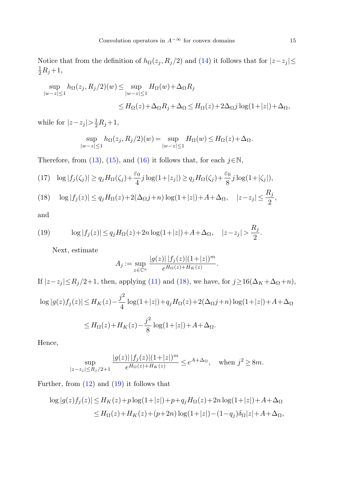Notice that from the definition of  $h_{\Omega}(z_j, R_j/2)$  and ([14\)](#page-13-0) it follows that for  $|z-z_j| \leq$  $\frac{1}{2}R_j+1,$ 

$$
\sup_{|w-z|\le 1} h_{\Omega}(z_j, R_j/2)(w) \le \sup_{|w-z|\le 1} H_{\Omega}(w) + \Delta_{\Omega} R_j
$$
  

$$
\le H_{\Omega}(z) + \Delta_{\Omega} R_j + \Delta_{\Omega} \le H_{\Omega}(z) + 2\Delta_{\Omega} j \log(1+|z|) + \Delta_{\Omega},
$$

<span id="page-14-2"></span><span id="page-14-0"></span>while for  $|z-z_j| > \frac{1}{2}R_j+1$ ,

$$
\sup_{|w-z|\leq 1} h_{\Omega}(z_j, R_j/2)(w) = \sup_{|w-z|\leq 1} H_{\Omega}(w) \leq H_{\Omega}(z) + \Delta_{\Omega}.
$$

<span id="page-14-1"></span>Therefore, from ([13\)](#page-13-1), ([15\)](#page-13-2), and ([16\)](#page-13-3) it follows that, for each  $j \in \mathbb{N}$ ,

(17) 
$$
\log |f_j(\zeta_j)| \ge q_j H_{\Omega}(\zeta_j) + \frac{\varepsilon_0}{4} j \log(1+|z_j|) \ge q_j H_{\Omega}(\zeta_j) + \frac{\varepsilon_0}{8} j \log(1+|\zeta_j|),
$$

(18) 
$$
\log |f_j(z)| \le q_j H_{\Omega}(z) + 2(\Delta_{\Omega} j + n) \log(1+|z|) + A + \Delta_{\Omega}, \quad |z - z_j| \le \frac{R_j}{2},
$$

and

(19) 
$$
\log |f_j(z)| \le q_j H_{\Omega}(z) + 2n \log(1+|z|) + A + \Delta_{\Omega}, \quad |z - z_j| > \frac{R_j}{2}.
$$

Next, estimate

$$
A_j := \sup_{z \in \mathbb{C}^n} \frac{|g(z)| |f_j(z)| (1+|z|)^m}{e^{H_{\Omega}(z) + H_K(z)}}.
$$

If  $|z-z_j|\!\le\! R_j/2+1$ , then, applying [\(11](#page-12-0)) and ([18\)](#page-14-0), we have, for  $j\!\ge\!16(\Delta_K+\Delta_\Omega+n),$ 

$$
\log|g(z)f_j(z)| \le H_K(z) - \frac{j^2}{4} \log(1+|z|) + q_j H_{\Omega}(z) + 2(\Delta_{\Omega} j + n) \log(1+|z|) + A + \Delta_{\Omega}
$$
  

$$
\le H_{\Omega}(z) + H_K(z) - \frac{j^2}{8} \log(1+|z|) + A + \Delta_{\Omega}.
$$

Hence,

$$
\sup_{|z-z_j| \le R_j/2 + 1} \frac{|g(z)| |f_j(z)| (1 + |z|)^m}{e^{H_\Omega(z) + H_K(z)}} \le e^{A + \Delta_\Omega}, \quad \text{when } j^2 \ge 8m.
$$

Further, from ([12\)](#page-12-1) and [\(19](#page-14-1)) it follows that

$$
\log|g(z)f_j(z)| \le H_K(z) + p \log(1+|z|) + p + q_j H_{\Omega}(z) + 2n \log(1+|z|) + A + \Delta_{\Omega}
$$
  
\n
$$
\le H_{\Omega}(z) + H_K(z) + (p+2n) \log(1+|z|) - (1-q_j)\delta_{\Omega}|z| + A + \Delta_{\Omega},
$$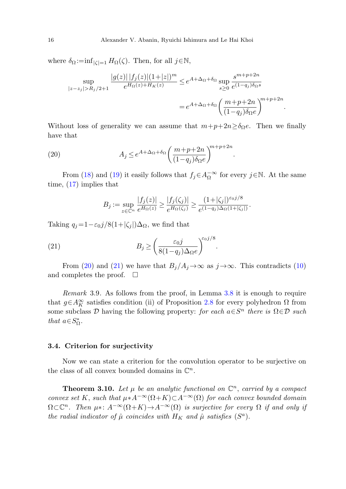<span id="page-15-1"></span>where  $\delta_{\Omega} := \inf_{|\zeta|=1} H_{\Omega}(\zeta)$ . Then, for all  $j \in \mathbb{N}$ ,

$$
\sup_{|z-z_j|>R_j/2+1} \frac{|g(z)| |f_j(z)| (1+|z|)^m}{e^{H_{\Omega}(z)+H_K(z)}} \le e^{A+\Delta_{\Omega}+\delta_{\Omega}} \sup_{s\ge 0} \frac{s^{m+p+2n}}{e^{(1-q_j)\delta_{\Omega}s}}
$$

$$
= e^{A+\Delta_{\Omega}+\delta_{\Omega}} \left(\frac{m+p+2n}{(1-q_j)\delta_{\Omega}e}\right)^{m+p+2n}.
$$

Without loss of generality we can assume that  $m+p+2n\geq \delta_{\Omega}e$ . Then we finally have that

.

.

(20) 
$$
A_j \leq e^{A + \Delta_{\Omega} + \delta_{\Omega}} \left( \frac{m + p + 2n}{(1 - q_j)\delta_{\Omega}e} \right)^{m + p + 2n}
$$

<span id="page-15-2"></span>From ([18\)](#page-14-0) and ([19\)](#page-14-1) it easily follows that  $f_j \in A_{\Omega}^{-\infty}$  for every  $j \in \mathbb{N}$ . At the same time, ([17\)](#page-14-2) implies that

$$
B_j := \sup_{z \in \mathbb{C}^n} \frac{|f_j(z)|}{e^{H_{\Omega}(z)}} \ge \frac{|f_j(\zeta_j)|}{e^{H_{\Omega}(\zeta_j)}} \ge \frac{(1+|\zeta_j|)^{\varepsilon_0 j/8}}{e^{(1-q_j)\Delta_{\Omega}(1+|\zeta_j|)}}.
$$

Taking  $q_j=1-\epsilon_0j/8(1+|\zeta_j|)\Delta_{\Omega}$ , we find that

(21) 
$$
B_j \ge \left(\frac{\varepsilon_0 j}{8(1-q_j)\Delta_\Omega e}\right)^{\varepsilon_0 j/8}
$$

From [\(20](#page-15-1)) and [\(21](#page-15-2)) we have that  $B_j/A_j\to\infty$  as  $j\to\infty$ . This contradicts ([10\)](#page-12-2) and completes the proof.  $\Box$ 

Remark 3.9. As follows from the proof, in Lemma [3.8](#page-12-3) it is enough to require that  $g \in A_K^{\infty}$  satisfies condition (ii) of Proposition [2.8](#page-7-1) for every polyhedron  $\Omega$  from some subclass D having the following property: for each  $a \in S^n$  there is  $\Omega \in \mathcal{D}$  such that  $a \in S^*_{\Omega}$ .

### <span id="page-15-0"></span>**3.4. Criterion for surjectivity**

Now we can state a criterion for the convolution operator to be surjective on the class of all convex bounded domains in  $\mathbb{C}^n$ .

**Theorem 3.10.** Let  $\mu$  be an analytic functional on  $\mathbb{C}^n$ , carried by a compact convex set K, such that  $\mu * A^{-\infty}(\Omega + K) \subset A^{-\infty}(\Omega)$  for each convex bounded domain  $\Omega \subset \mathbb{C}^n$ . Then  $\mu$ \*:  $A^{-\infty}(\Omega + K) \to A^{-\infty}(\Omega)$  is surjective for every  $\Omega$  if and only if the radial indicator of  $\hat{\mu}$  coincides with  $H_K$  and  $\hat{\mu}$  satisfies  $(S^a)$ .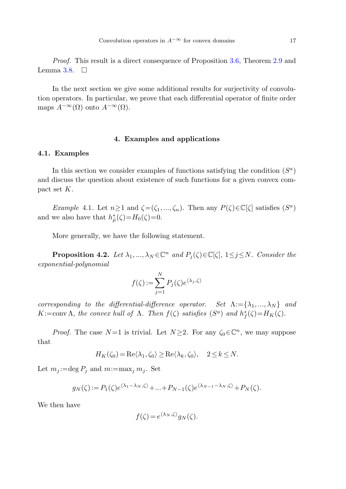Proof. This result is a direct consequence of Proposition [3.6,](#page-10-2) Theorem [2.9](#page-7-0) and Lemma [3.8.](#page-12-3)  $\Box$ 

<span id="page-16-0"></span>In the next section we give some additional results for surjectivity of convolution operators. In particular, we prove that each differential operator of finite order maps  $A^{-\infty}(\Omega)$  onto  $A^{-\infty}(\Omega)$ .

# **4. Examples and applications**

# **4.1. Examples**

In this section we consider examples of functions satisfying the condition  $(S^a)$ and discuss the question about existence of such functions for a given convex compact set K.

<span id="page-16-1"></span>Example 4.1. Let  $n \geq 1$  and  $\zeta = (\zeta_1, ..., \zeta_n)$ . Then any  $P(\zeta) \in \mathbb{C}[\zeta]$  satisfies  $(S^a)$ and we also have that  $h^*_{\hat{\mu}}(\zeta) = H_0(\zeta) = 0$ .

More generally, we have the following statement.

**Proposition 4.2.** Let  $\lambda_1, ..., \lambda_N \in \mathbb{C}^n$  and  $P_i(\zeta) \in \mathbb{C}[\zeta], 1 \leq j \leq N$ . Consider the exponential-polynomial

$$
f(\zeta) := \sum_{j=1}^{N} P_j(\zeta) e^{\langle \lambda_j, \zeta \rangle}
$$

corresponding to the differential-difference operator. Set  $\Lambda := {\lambda_1, ..., \lambda_N}$  and  $K:=\text{conv }\Lambda, \text{ the convex hull of }\Lambda. \text{ Then } f(\zeta) \text{ satisfies } (S^a) \text{ and } h_f^*(\zeta)=H_K(\zeta).$ 

*Proof.* The case  $N=1$  is trivial. Let  $N\geq 2$ . For any  $\zeta_0\in\mathbb{C}^n$ , we may suppose that

$$
H_K(\zeta_0) = \text{Re}\langle \lambda_1, \zeta_0 \rangle \ge \text{Re}\langle \lambda_k, \zeta_0 \rangle, \quad 2 \le k \le N.
$$

Let  $m_j := \deg P_j$  and  $m := \max_j m_j$ . Set

$$
g_N(\zeta) := P_1(\zeta) e^{\langle \lambda_1 - \lambda_N, \zeta \rangle} + \dots + P_{N-1}(\zeta) e^{\langle \lambda_{N-1} - \lambda_N, \zeta \rangle} + P_N(\zeta).
$$

We then have

$$
f(\zeta) = e^{\langle \lambda_N, \zeta \rangle} g_N(\zeta).
$$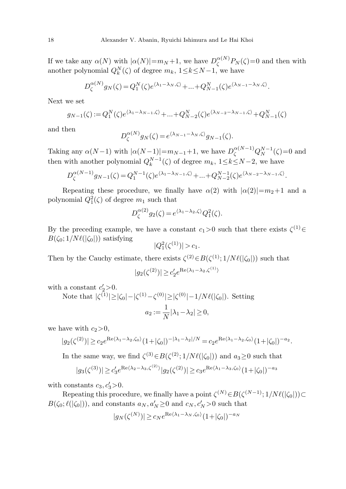If we take any  $\alpha(N)$  with  $|\alpha(N)| = m_N + 1$ , we have  $D_{\zeta}^{\alpha(N)}P_N(\zeta) = 0$  and then with another polynomial  $Q_k^N(\zeta)$  of degree  $m_k$ ,  $1 \leq k \leq N-1$ , we have

$$
D_{\zeta}^{\alpha(N)}g_N(\zeta) = Q_1^N(\zeta)e^{\langle \lambda_1 - \lambda_N, \zeta \rangle} + \dots + Q_{N-1}^N(\zeta)e^{\langle \lambda_{N-1} - \lambda_N, \zeta \rangle}.
$$

Next we set

$$
g_{N-1}(\zeta) := Q_1^N(\zeta) e^{\langle \lambda_1 - \lambda_{N-1}, \zeta \rangle} + \dots + Q_{N-2}^N(\zeta) e^{\langle \lambda_{N-2} - \lambda_{N-1}, \zeta \rangle} + Q_{N-1}^N(\zeta)
$$

and then

$$
D_{\zeta}^{\alpha(N)}g_N(\zeta) = e^{\langle \lambda_{N-1} - \lambda_N, \zeta \rangle}g_{N-1}(\zeta).
$$

Taking any  $\alpha(N-1)$  with  $|\alpha(N-1)| = m_{N-1}+1$ , we have  $D_{\zeta}^{\alpha(N-1)}Q_N^{N-1}(\zeta) = 0$  and then with another polynomial  $Q_k^{N-1}(\zeta)$  of degree  $m_k$ ,  $1 \le k \le N-2$ , we have

$$
D_{\zeta}^{\alpha(N-1)}g_{N-1}(\zeta) = Q_1^{N-1}(\zeta)e^{\langle \lambda_1 - \lambda_{N-1}, \zeta \rangle} + \dots + Q_{N-2}^{N-1}(\zeta)e^{\langle \lambda_{N-2} - \lambda_{N-1}, \zeta \rangle}.
$$

Repeating these procedure, we finally have  $\alpha(2)$  with  $|\alpha(2)|=m_2+1$  and a polynomial  $Q_1^2(\zeta)$  of degree  $m_1$  such that

$$
D_{\zeta}^{\alpha(2)}g_2(\zeta) = e^{\langle \lambda_1 - \lambda_2, \zeta \rangle} Q_1^2(\zeta).
$$

By the preceding example, we have a constant  $c_1>0$  such that there exists  $\zeta^{(1)}\in$  $B(\zeta_0; 1/N\ell(|\zeta_0|))$  satisfying  $|Q_1^2|$ 

$$
|Q_1^2(\zeta^{(1)})| > c_1.
$$

Then by the Cauchy estimate, there exists  $\zeta^{(2)} \in B(\zeta^{(1)}; 1/N\ell(|\zeta_0|))$  such that

$$
|g_2(\zeta^{(2)})| \ge c_2' e^{\operatorname{Re}\langle \lambda_1 - \lambda_2, \zeta^{(1)} \rangle}
$$

with a constant  $c'_2 > 0$ .

Note that 
$$
|\zeta^{(1)}| \ge |\zeta_0| - |\zeta^{(1)} - \zeta^{(0)}| \ge |\zeta^{(0)}| - 1/N\ell(|\zeta_0|)
$$
. Setting  

$$
a_2 := \frac{1}{N} |\lambda_1 - \lambda_2| \ge 0,
$$

we have with  $c_2>0$ ,

$$
|g_2(\zeta^{(2)})| \geq c_2 e^{\operatorname{Re}(\lambda_1 - \lambda_2, \zeta_0)} (1 + |\zeta_0|)^{-|\lambda_1 - \lambda_2|/N} = c_2 e^{\operatorname{Re}(\lambda_1 - \lambda_2, \zeta_0)} (1 + |\zeta_0|)^{-a_2}.
$$

In the same way, we find  $\zeta^{(3)} \in B(\zeta^{(2)}; 1/N\ell(|\zeta_0|))$  and  $a_3 \geq 0$  such that

$$
|g_3(\zeta^{(3)})| \geq c_3' e^{\text{Re}(\lambda_2 - \lambda_3, \zeta^{(2)})} |g_2(\zeta^{(2)})| \geq c_3 e^{\text{Re}(\lambda_1 - \lambda_3, \zeta_0)} (1 + |\zeta_0|)^{-a_3}
$$

with constants  $c_3, c'_3 > 0$ .

Repeating this procedure, we finally have a point  $\zeta^{(N)} \in B(\zeta^{(N-1)}; 1/N\ell(|\zeta_0|)) \subset$  $B(\zeta_0; \ell(|\zeta_0|)),$  and constants  $a_N, a'_N \ge 0$  and  $c_N, c'_N > 0$  such that

$$
|g_N(\zeta^{(N)})| \ge c_N e^{\text{Re}\langle \lambda_1 - \lambda_N, \zeta_0 \rangle} (1 + |\zeta_0|)^{-a_N}
$$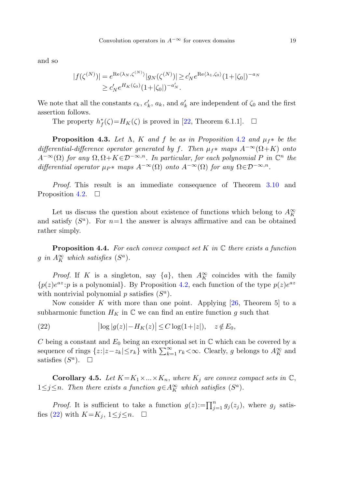and so

$$
|f(\zeta^{(N)})| = e^{\operatorname{Re}\langle \lambda_N, \zeta^{(N)} \rangle} |g_N(\zeta^{(N)})| \ge c'_N e^{\operatorname{Re}\langle \lambda_1, \zeta_0 \rangle} (1 + |\zeta_0|)^{-a_N}
$$
  
 
$$
\ge c'_N e^{H_K(\zeta_0)} (1 + |\zeta_0|)^{-a'_N}.
$$

We note that all the constants  $c_k$ ,  $c'_k$ ,  $a_k$ , and  $a'_k$  are independent of  $\zeta_0$  and the first assertion follows.

The property  $h_f^*(\zeta) = H_K(\zeta)$  is proved in [[22,](#page-21-8) Theorem 6.1.1].  $\Box$ 

**Proposition 4.3.** Let  $\Lambda$ , K and f be as in Proposition [4.2](#page-16-1) and  $\mu_f$ \* be the differential-difference operator generated by f. Then  $\mu_f^*$  maps  $A^{-\infty}(\Omega + K)$  onto  $A^{-\infty}(\Omega)$  for any  $\Omega, \Omega + K \in \mathcal{D}^{-\infty,n}$ . In particular, for each polynomial P in  $\mathbb{C}^n$  the differential operator  $\mu_{P^*}$  maps  $A^{-\infty}(\Omega)$  onto  $A^{-\infty}(\Omega)$  for any  $\Omega \in \mathcal{D}^{-\infty,n}$ .

Proof. This result is an immediate consequence of Theorem [3.10](#page-15-0) and Proposition [4.2.](#page-16-1)  $\Box$ 

Let us discuss the question about existence of functions which belong to  $A_K^{\infty}$ and satisfy  $(S^a)$ . For  $n=1$  the answer is always affirmative and can be obtained rather simply.

<span id="page-18-0"></span>**Proposition 4.4.** For each convex compact set K in  $\mathbb C$  there exists a function g in  $A_K^{\infty}$  which satisfies  $(S^a)$ .

*Proof.* If K is a singleton, say  $\{a\}$ , then  $A_K^{\infty}$  coincides with the family  ${p(z)e^{az}:p \text{ is a polynomial}}$ . By Proposition [4.2](#page-16-1), each function of the type  $p(z)e^{az}$ with nontrivial polynomial  $p$  satisfies  $(S^a)$ .

Now consider K with more than one point. Applying  $[26,$  $[26,$  Theorem 5 to a subharmonic function  $H_K$  in  $\mathbb C$  we can find an entire function g such that

(22) 
$$
\left| \log |g(z)| - H_K(z) \right| \le C \log(1+|z|), \quad z \notin E_0,
$$

C being a constant and  $E_0$  being an exceptional set in  $\mathbb C$  which can be covered by a sequence of rings  $\{z:|z-z_k|\leq r_k\}$  with  $\sum_{k=1}^{\infty} r_k<\infty$ . Clearly, g belongs to  $A_K^{\infty}$  and satisfies  $(S^a)$ .  $\Box$ 

**Corollary 4.5.** Let  $K = K_1 \times ... \times K_n$ , where  $K_j$  are convex compact sets in  $\mathbb{C}$ ,  $1 \leq j \leq n$ . Then there exists a function  $g \in A_K^{\infty}$  which satisfies  $(S^a)$ .

*Proof.* It is sufficient to take a function  $g(z) := \prod_{j=1}^n g_j(z_j)$ , where  $g_j$  satis-fies ([22\)](#page-18-0) with  $K=K_j$ ,  $1\leq j\leq n$ .  $\Box$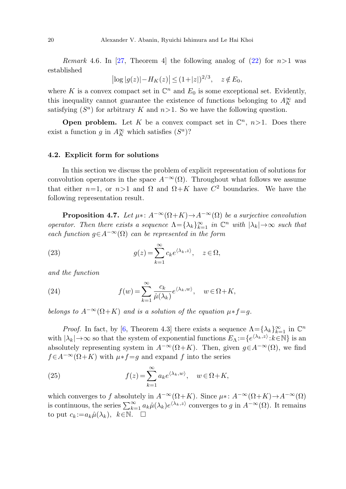*Remark* 4.6. In [\[27](#page-21-10), Theorem 4] the following analog of [\(22](#page-18-0)) for  $n>1$  was established

$$
|\log|g(z)| - H_K(z)| \le (1+|z|)^{2/3}, \quad z \notin E_0,
$$

where K is a convex compact set in  $\mathbb{C}^n$  and  $E_0$  is some exceptional set. Evidently, this inequality cannot guarantee the existence of functions belonging to  $A_K^{\infty}$  and satisfying  $(S^a)$  for arbitrary K and  $n>1$ . So we have the following question.

**Open problem.** Let K be a convex compact set in  $\mathbb{C}^n$ ,  $n>1$ . Does there exist a function g in  $A_K^{\infty}$  which satisfies  $(S^a)$ ?

### **4.2. Explicit form for solutions**

In this section we discuss the problem of explicit representation of solutions for convolution operators in the space  $A^{-\infty}(\Omega)$ . Throughout what follows we assume that either  $n=1$ , or  $n>1$  and  $\Omega$  and  $\Omega + K$  have  $C^2$  boundaries. We have the following representation result.

**Proposition 4.7.** Let  $\mu$ <sup>\*</sup>:  $A^{-\infty}(\Omega + K) \to A^{-\infty}(\Omega)$  be a surjective convolution operator. Then there exists a sequence  $\Lambda = {\lambda_k}_{k=1}^{\infty}$  in  $\mathbb{C}^n$  with  $|\lambda_k| \to \infty$  such that each function  $g \in A^{-\infty}(\Omega)$  can be represented in the form

(23) 
$$
g(z) = \sum_{k=1}^{\infty} c_k e^{\langle \lambda_k, z \rangle}, \quad z \in \Omega,
$$

and the function

(24) 
$$
f(w) = \sum_{k=1}^{\infty} \frac{c_k}{\hat{\mu}(\lambda_k)} e^{\langle \lambda_k, w \rangle}, \quad w \in \Omega + K,
$$

belongs to  $A^{-\infty}(\Omega+K)$  and is a solution of the equation  $\mu*f=q$ .

*Proof.* In fact, by [[6,](#page-20-3) Theorem 4.3] there exists a sequence  $\Lambda = {\lambda_k}_{k=1}^{\infty}$  in  $\mathbb{C}^n$ with  $|\lambda_k| \to \infty$  so that the system of exponential functions  $E_\Lambda := \{e^{\langle \lambda_k, z \rangle} : k \in \mathbb{N}\}\$ is an absolutely representing system in  $A^{-\infty}(\Omega + K)$ . Then, given  $g \in A^{-\infty}(\Omega)$ , we find  $f\in A^{-\infty}(\Omega+K)$  with  $\mu*f=g$  and expand f into the series

(25) 
$$
f(z) = \sum_{k=1}^{\infty} a_k e^{\langle \lambda_k, w \rangle}, \quad w \in \Omega + K,
$$

which converges to f absolutely in  $A^{-\infty}(\Omega + K)$ . Since  $\mu$ \*:  $A^{-\infty}(\Omega + K) \to A^{-\infty}(\Omega)$ is continuous, the series  $\sum_{k=1}^{\infty} a_k \hat{\mu}(\lambda_k) e^{i \lambda_k, z}$  converges to g in  $A^{-\infty}(\Omega)$ . It remains to put  $c_k := a_k \hat{\mu}(\lambda_k)$ ,  $k \in \mathbb{N}$ .  $\Box$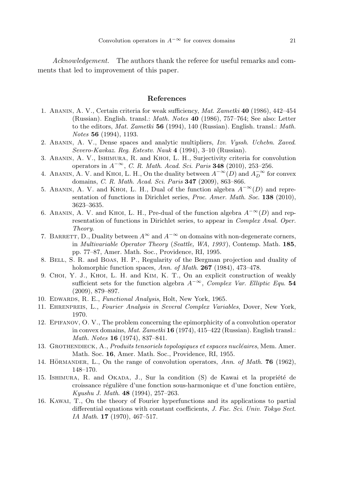<span id="page-20-15"></span><span id="page-20-8"></span>Acknowledgement. The authors thank the referee for useful remarks and comments that led to improvement of this paper.

#### **References**

- <span id="page-20-9"></span><span id="page-20-5"></span><span id="page-20-2"></span>1. Abanin, A. V., Certain criteria for weak sufficiency, Mat. Zametki **40** (1986), 442–454 (Russian). English. transl.: Math. Notes **40** (1986), 757–764; See also: Letter to the editors, Mat. Zametki **56** (1994), 140 (Russian). English. transl.: Math. Notes **56** (1994), 1193.
- <span id="page-20-3"></span>2. Abanin, A. V., Dense spaces and analytic multipliers, Izv. Vyssh. Uchebn. Zaved. Severo-Kavkaz. Reg. Estestv. Nauk **4** (1994), 3–10 (Russian).
- 3. Abanin, A. V., Ishimura, R. and Khoi, L. H., Surjectivity criteria for convolution operators in A−∞, C. R. Math. Acad. Sci. Paris **348** (2010), 253–256.
- <span id="page-20-0"></span>4. ABANIN, A. V. and KHOI, L. H., On the duality between  $A^{-\infty}(D)$  and  $A^{-\infty}_D$  for convex domains, C. R. Math. Acad. Sci. Paris **347** (2009), 863–866.
- <span id="page-20-1"></span>5. ABANIN, A. V. and KHOI, L. H., Dual of the function algebra  $A^{-\infty}(D)$  and representation of functions in Dirichlet series, Proc. Amer. Math. Soc. **138** (2010), 3623–3635.
- <span id="page-20-4"></span>6. ABANIN, A. V. and KHOI, L. H., Pre-dual of the function algebra  $A^{-\infty}(D)$  and representation of functions in Dirichlet series, to appear in Complex Anal. Oper. Theory.
- <span id="page-20-10"></span><span id="page-20-7"></span>7. BARRETT, D., Duality between  $A^{\infty}$  and  $A^{-\infty}$  on domains with non-degenerate corners, in Multivariable Operator Theory (Seattle, WA, 1993 ), Contemp. Math. **185**, pp. 77–87, Amer. Math. Soc., Providence, RI, 1995.
- <span id="page-20-11"></span>8. Bell, S. R. and Boas, H. P., Regularity of the Bergman projection and duality of holomorphic function spaces, Ann. of Math. **267** (1984), 473–478.
- <span id="page-20-6"></span>9. Choi, Y. J., Khoi, L. H. and Kim, K. T., On an explicit construction of weakly sufficient sets for the function algebra  $A^{-\infty}$ , Complex Var. Elliptic Equ. **54** (2009), 879–897.
- <span id="page-20-14"></span>10. EDWARDS, R. E., Functional Analysis, Holt, New York, 1965.
- <span id="page-20-13"></span>11. Ehrenpreis, L., Fourier Analysis in Several Complex Variables, Dover, New York, 1970.
- 12. Epifanov, O. V., The problem concerning the epimorphicity of a convolution operator in convex domains, Mat. Zametki **16** (1974), 415–422 (Russian). English transl.: Math. Notes **16** (1974), 837–841.
- <span id="page-20-12"></span>13. GROTHENDIECK, A., Produits tensoriels topologiques et espaces nucléaires, Mem. Amer. Math. Soc. **16**, Amer. Math. Soc., Providence, RI, 1955.
- 14. HÖRMANDER, L., On the range of convolution operators, Ann. of Math. **76** (1962), 148–170.
- 15. ISHIMURA, R. and OKADA, J., Sur la condition (S) de Kawai et la propriété de croissance régulière d'une fonction sous-harmonique et d'une fonction entière, Kyushu J. Math. **48** (1994), 257–263.
- 16. Kawai, T., On the theory of Fourier hyperfunctions and its applications to partial differential equations with constant coefficients, J. Fac. Sci. Univ. Tokyo Sect. IA Math. **17** (1970), 467–517.